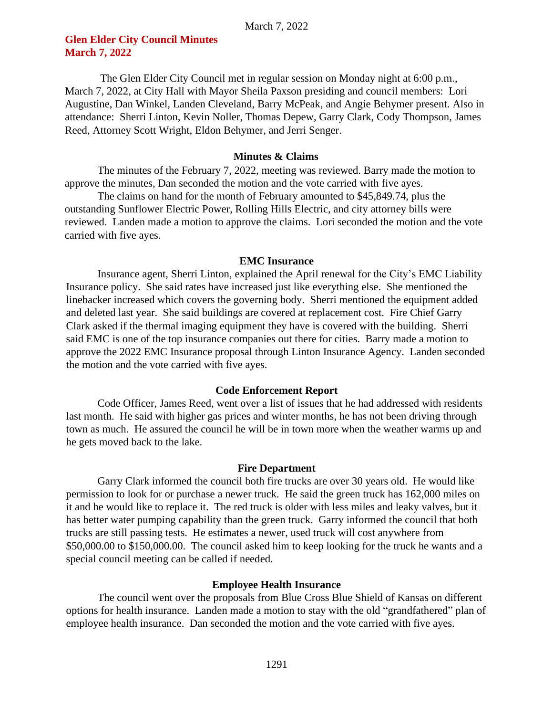# **Glen Elder City Council Minutes March 7, 2022**

The Glen Elder City Council met in regular session on Monday night at 6:00 p.m., March 7, 2022, at City Hall with Mayor Sheila Paxson presiding and council members: Lori Augustine, Dan Winkel, Landen Cleveland, Barry McPeak, and Angie Behymer present. Also in attendance: Sherri Linton, Kevin Noller, Thomas Depew, Garry Clark, Cody Thompson, James Reed, Attorney Scott Wright, Eldon Behymer, and Jerri Senger.

### **Minutes & Claims**

The minutes of the February 7, 2022, meeting was reviewed. Barry made the motion to approve the minutes, Dan seconded the motion and the vote carried with five ayes.

The claims on hand for the month of February amounted to \$45,849.74, plus the outstanding Sunflower Electric Power, Rolling Hills Electric, and city attorney bills were reviewed. Landen made a motion to approve the claims. Lori seconded the motion and the vote carried with five ayes.

#### **EMC Insurance**

Insurance agent, Sherri Linton, explained the April renewal for the City's EMC Liability Insurance policy. She said rates have increased just like everything else. She mentioned the linebacker increased which covers the governing body. Sherri mentioned the equipment added and deleted last year. She said buildings are covered at replacement cost. Fire Chief Garry Clark asked if the thermal imaging equipment they have is covered with the building. Sherri said EMC is one of the top insurance companies out there for cities. Barry made a motion to approve the 2022 EMC Insurance proposal through Linton Insurance Agency. Landen seconded the motion and the vote carried with five ayes.

#### **Code Enforcement Report**

Code Officer, James Reed, went over a list of issues that he had addressed with residents last month. He said with higher gas prices and winter months, he has not been driving through town as much. He assured the council he will be in town more when the weather warms up and he gets moved back to the lake.

#### **Fire Department**

Garry Clark informed the council both fire trucks are over 30 years old. He would like permission to look for or purchase a newer truck. He said the green truck has 162,000 miles on it and he would like to replace it. The red truck is older with less miles and leaky valves, but it has better water pumping capability than the green truck. Garry informed the council that both trucks are still passing tests. He estimates a newer, used truck will cost anywhere from \$50,000.00 to \$150,000.00. The council asked him to keep looking for the truck he wants and a special council meeting can be called if needed.

#### **Employee Health Insurance**

The council went over the proposals from Blue Cross Blue Shield of Kansas on different options for health insurance. Landen made a motion to stay with the old "grandfathered" plan of employee health insurance. Dan seconded the motion and the vote carried with five ayes.